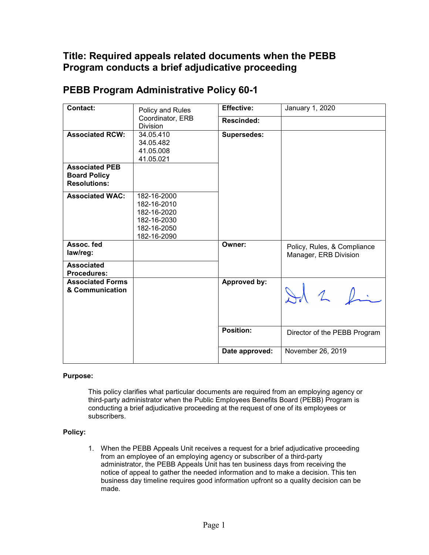## **Title: Required appeals related documents when the PEBB Program conducts a brief adjudicative proceeding**

| Contact:                                                            | Policy and Rules<br>Coordinator, ERB<br><b>Division</b>                                | <b>Effective:</b>  | January 1, 2020                                      |
|---------------------------------------------------------------------|----------------------------------------------------------------------------------------|--------------------|------------------------------------------------------|
|                                                                     |                                                                                        | <b>Rescinded:</b>  |                                                      |
| <b>Associated RCW:</b>                                              | 34.05.410<br>34.05.482<br>41.05.008<br>41.05.021                                       | <b>Supersedes:</b> |                                                      |
| <b>Associated PEB</b><br><b>Board Policy</b><br><b>Resolutions:</b> |                                                                                        |                    |                                                      |
| <b>Associated WAC:</b>                                              | 182-16-2000<br>182-16-2010<br>182-16-2020<br>182-16-2030<br>182-16-2050<br>182-16-2090 |                    |                                                      |
| Assoc. fed<br>law/reg:                                              |                                                                                        | Owner:             | Policy, Rules, & Compliance<br>Manager, ERB Division |
| <b>Associated</b><br><b>Procedures:</b>                             |                                                                                        |                    |                                                      |
| <b>Associated Forms</b><br>& Communication                          |                                                                                        | Approved by:       | $+12$                                                |
|                                                                     |                                                                                        | Position:          | Director of the PEBB Program                         |
|                                                                     |                                                                                        | Date approved:     | November 26, 2019                                    |

## **PEBB Program Administrative Policy 60-1**

## **Purpose:**

This policy clarifies what particular documents are required from an employing agency or third-party administrator when the Public Employees Benefits Board (PEBB) Program is conducting a brief adjudicative proceeding at the request of one of its employees or subscribers.

## **Policy:**

1. When the PEBB Appeals Unit receives a request for a brief adjudicative proceeding from an employee of an employing agency or subscriber of a third-party administrator, the PEBB Appeals Unit has ten business days from receiving the notice of appeal to gather the needed information and to make a decision. This ten business day timeline requires good information upfront so a quality decision can be made.